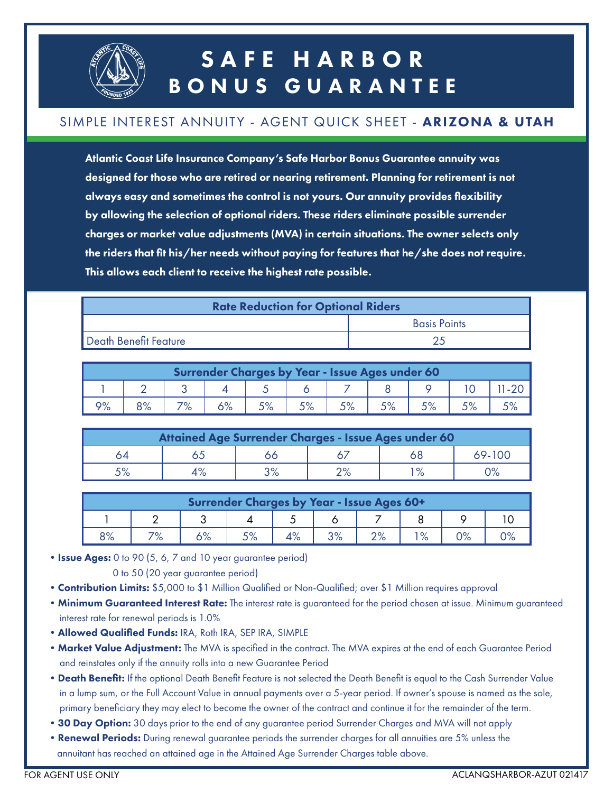

## SAFE HARBOR BONUS GUARANTEE

#### SIMPLE INTEREST ANNUITY - AGENT QUICK SHEET - ARIZONA & UTAH

Atlantic Coast Life Insurance Company's Safe Harbor Bonus Guarantee annuity was designed for those who are retired or nearing retirement. Planning for retirement is not always easy and sometimes the control is not yours. Our annuity provides flexibility by allowing the selection of optional riders. These riders eliminate possible surrender charges or market value adjustments (MVA) in certain situations. The owner selects only the riders that fit his/her needs without paying for features that he/she does not require. This allows each client to receive the highest rate possible.

| <b>Rate Reduction for Optional Riders</b> |                     |  |  |  |  |  |
|-------------------------------------------|---------------------|--|--|--|--|--|
|                                           | <b>Basis Points</b> |  |  |  |  |  |
| Death Benefit Feature                     |                     |  |  |  |  |  |

| Surrender Charges by Year - Issue Ages under 60 |    |     |  |  |  |  |  |  |  |  |
|-------------------------------------------------|----|-----|--|--|--|--|--|--|--|--|
|                                                 |    |     |  |  |  |  |  |  |  |  |
| 9%                                              | 8% | 70/ |  |  |  |  |  |  |  |  |

| Attained Age Surrender Charges - Issue Ages under 60 |  |               |      |  |        |  |  |  |  |
|------------------------------------------------------|--|---------------|------|--|--------|--|--|--|--|
| 54                                                   |  |               |      |  | 69-100 |  |  |  |  |
|                                                      |  | ∕ס כי<br>ہ/ د | ∕ס ר |  |        |  |  |  |  |

| Surrender Charges by Year - Issue Ages 60+ |           |               |    |    |    |                         |               |    |  |
|--------------------------------------------|-----------|---------------|----|----|----|-------------------------|---------------|----|--|
|                                            |           |               |    |    |    |                         |               |    |  |
| 8%                                         | 70/<br>/о | 1 O /<br>O 70 | 5% | 4% | 3% | $\Omega$<br>$\angle$ /0 | $^{\circ}$ O/ | 9% |  |

• Issue Ages: 0 to 90 (5, 6, 7 and 10 year guarantee period)

0 to 50 (20 year guarantee period)

- Contribution Limits: \$5,000 to \$1 Million Qualified or Non-Qualified; over \$1 Million requires approval
- **Minimum Guaranteed Interest Rate:** The interest rate is guaranteed for the period chosen at issue. Minimum guaranteed interest rate for renewal periods is 1.0%
- •Allowed Qualified Funds: IRA, Roth IRA, SEP IRA, SIMPLE
- Market Value Adjustment: The MVA is specified in the contract. The MVA expires at the end of each Guarantee Period and reinstates only if the annuity rolls into a new Guarantee Period
- Death Benefit: If the optional Death Benefit Feature is not selected the Death Benefit is equal to the Cash Surrender Value in a lump sum, or the Full Account Value in annual payments over a 5-year period. If owner's spouse is named as the sole, primary beneficiary they may elect to become the owner of the contract and continue it for the remainder of the term.
- 30 Day Option: 30 days prior to the end of any guarantee period Surrender Charges and MVA will not apply
- Renewal Periods: During renewal guarantee periods the surrender charges for all annuities are 5% unless the annuitant has reached an attained age in the Attained Age Surrender Charges table above.